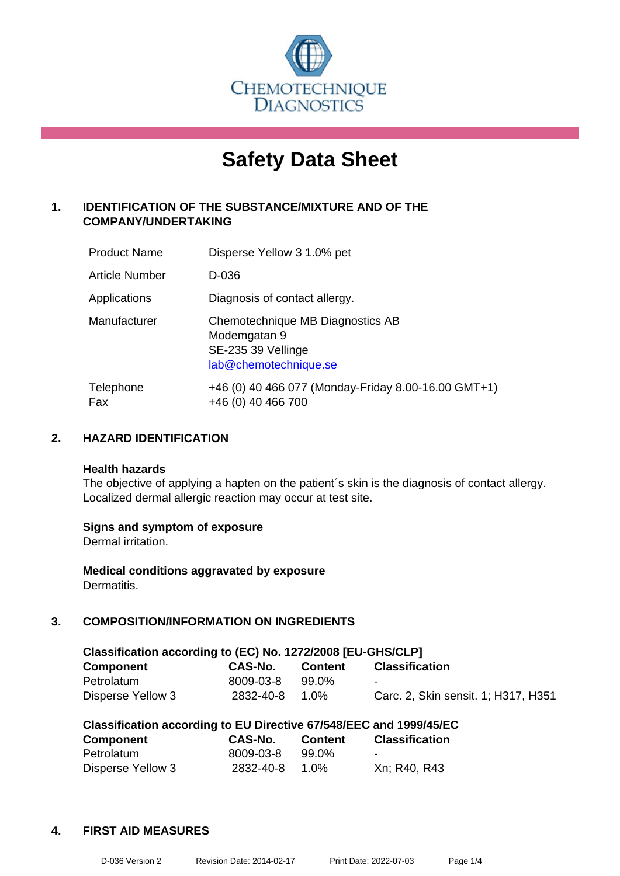

# **Safety Data Sheet**

## **1. IDENTIFICATION OF THE SUBSTANCE/MIXTURE AND OF THE COMPANY/UNDERTAKING**

| <b>Product Name</b> | Disperse Yellow 3 1.0% pet                                                                      |
|---------------------|-------------------------------------------------------------------------------------------------|
| Article Number      | D-036                                                                                           |
| Applications        | Diagnosis of contact allergy.                                                                   |
| Manufacturer        | Chemotechnique MB Diagnostics AB<br>Modemgatan 9<br>SE-235 39 Vellinge<br>lab@chemotechnique.se |
| Telephone<br>Fax    | +46 (0) 40 466 077 (Monday-Friday 8.00-16.00 GMT+1)<br>+46 (0) 40 466 700                       |

## **2. HAZARD IDENTIFICATION**

#### **Health hazards**

The objective of applying a hapten on the patient's skin is the diagnosis of contact allergy. Localized dermal allergic reaction may occur at test site.

## **Signs and symptom of exposure**

Dermal irritation.

**Medical conditions aggravated by exposure** Dermatitis.

## **3. COMPOSITION/INFORMATION ON INGREDIENTS**

| Classification according to (EC) No. 1272/2008 [EU-GHS/CLP] |           |                |                                     |  |  |  |  |
|-------------------------------------------------------------|-----------|----------------|-------------------------------------|--|--|--|--|
| Component                                                   | CAS-No.   | <b>Content</b> | <b>Classification</b>               |  |  |  |  |
| Petrolatum                                                  | 8009-03-8 | 99.0%          | $\blacksquare$                      |  |  |  |  |
| Disperse Yellow 3                                           | 2832-40-8 | 1.0%           | Carc. 2, Skin sensit. 1; H317, H351 |  |  |  |  |

| Classification according to EU Directive 67/548/EEC and 1999/45/EC |           |                |                       |  |  |  |
|--------------------------------------------------------------------|-----------|----------------|-----------------------|--|--|--|
| <b>Component</b>                                                   | CAS-No.   | <b>Content</b> | <b>Classification</b> |  |  |  |
| Petrolatum                                                         | 8009-03-8 | 99.0%          | $\blacksquare$        |  |  |  |
| Disperse Yellow 3                                                  | 2832-40-8 | 1.0%           | Xn; R40, R43          |  |  |  |

## **4. FIRST AID MEASURES**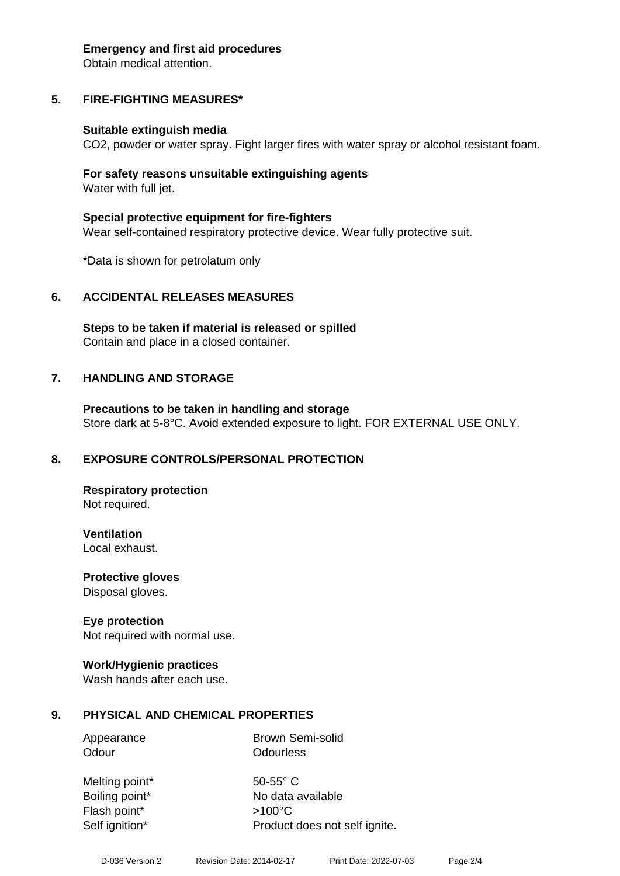#### **Emergency and first aid procedures**

Obtain medical attention.

## **5. FIRE-FIGHTING MEASURES\***

#### **Suitable extinguish media**

CO2, powder or water spray. Fight larger fires with water spray or alcohol resistant foam.

#### **For safety reasons unsuitable extinguishing agents** Water with full jet.

**Special protective equipment for fire-fighters** Wear self-contained respiratory protective device. Wear fully protective suit.

\*Data is shown for petrolatum only

## **6. ACCIDENTAL RELEASES MEASURES**

**Steps to be taken if material is released or spilled** Contain and place in a closed container.

## **7. HANDLING AND STORAGE**

**Precautions to be taken in handling and storage** Store dark at 5-8°C. Avoid extended exposure to light. FOR EXTERNAL USE ONLY.

## **8. EXPOSURE CONTROLS/PERSONAL PROTECTION**

**Respiratory protection** Not required.

**Ventilation**

Local exhaust.

**Protective gloves** Disposal gloves.

## **Eye protection**

Not required with normal use.

## **Work/Hygienic practices**

Wash hands after each use.

## **9. PHYSICAL AND CHEMICAL PROPERTIES**

Appearance Brown Semi-solid Odour **Odourless** 

Melting point\* 50-55° C Flash point\* >100°C

Boiling point\* No data available Self ignition\* Product does not self ignite.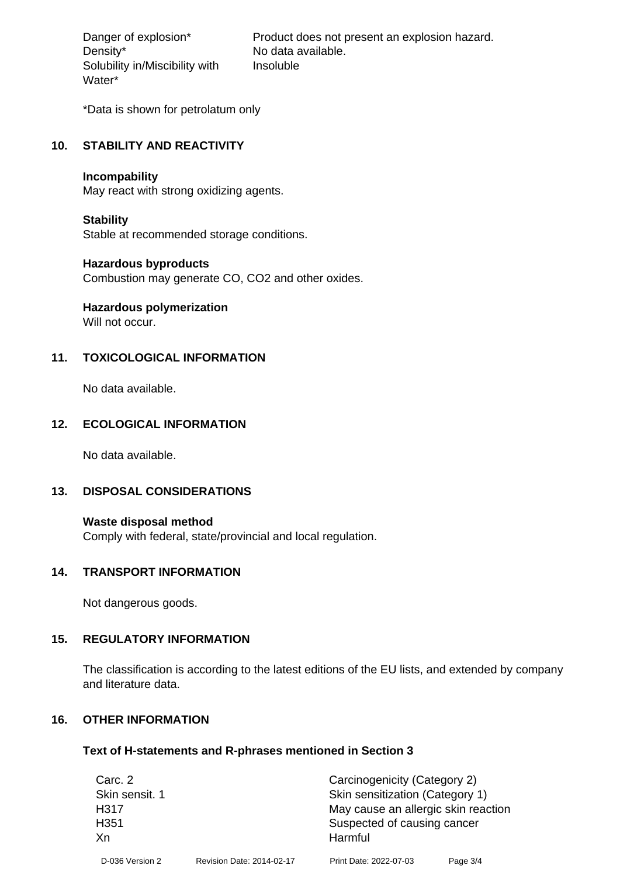Density\* No data available. Solubility in/Miscibility with Water\*

Danger of explosion\* Product does not present an explosion hazard. Insoluble

\*Data is shown for petrolatum only

#### **10. STABILITY AND REACTIVITY**

#### **Incompability**

May react with strong oxidizing agents.

#### **Stability**

Stable at recommended storage conditions.

#### **Hazardous byproducts**

Combustion may generate CO, CO2 and other oxides.

## **Hazardous polymerization**

Will not occur.

## **11. TOXICOLOGICAL INFORMATION**

No data available.

## **12. ECOLOGICAL INFORMATION**

No data available.

## **13. DISPOSAL CONSIDERATIONS**

**Waste disposal method** Comply with federal, state/provincial and local regulation.

#### **14. TRANSPORT INFORMATION**

Not dangerous goods.

## **15. REGULATORY INFORMATION**

The classification is according to the latest editions of the EU lists, and extended by company and literature data.

## **16. OTHER INFORMATION**

#### **Text of H-statements and R-phrases mentioned in Section 3**

| Carc. 2          |                           | Carcinogenicity (Category 2)        |          |  |
|------------------|---------------------------|-------------------------------------|----------|--|
| Skin sensit. 1   |                           | Skin sensitization (Category 1)     |          |  |
| H317             |                           | May cause an allergic skin reaction |          |  |
| H <sub>351</sub> |                           | Suspected of causing cancer         |          |  |
| Xn               |                           | Harmful                             |          |  |
| D-036 Version 2  | Revision Date: 2014-02-17 | Print Date: 2022-07-03              | Page 3/4 |  |